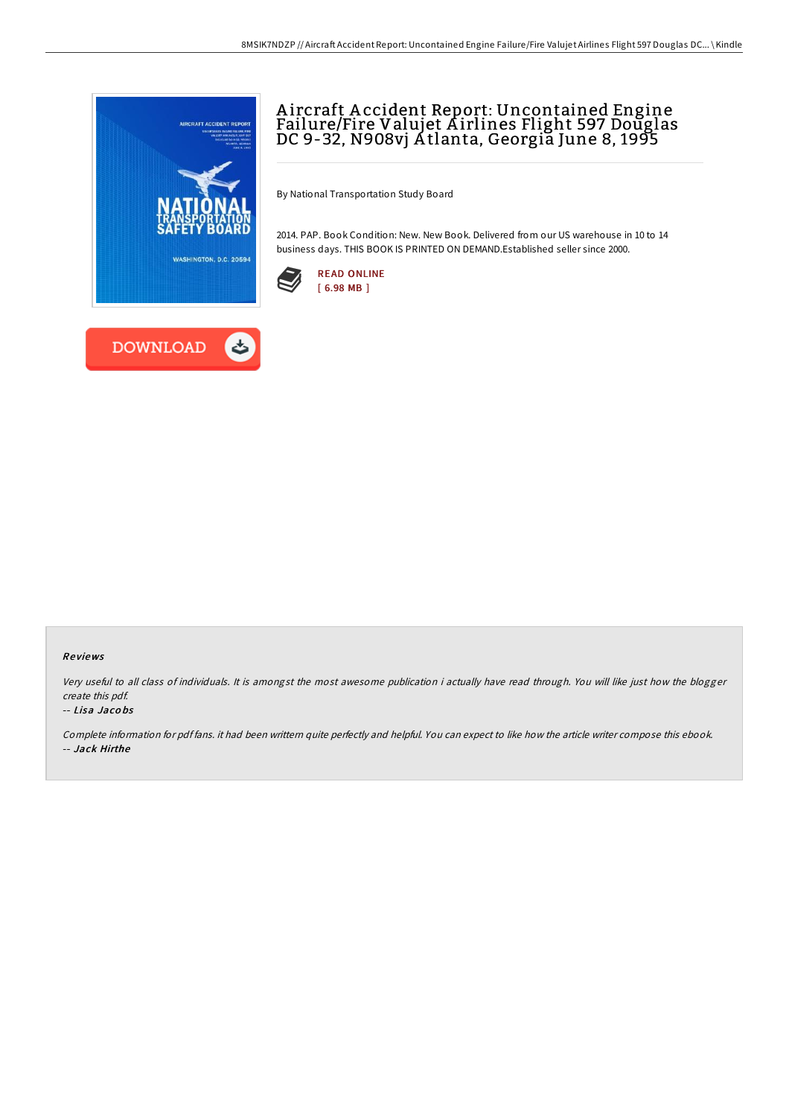

## A ircraft A ccident Report: Uncontained Engine Failure/Fire Valujet A irlines Flight 597 Douglas DC 9-32, N908vj A tlanta, Georgia June 8, 1995

By National Transportation Study Board

2014. PAP. Book Condition: New. New Book. Delivered from our US warehouse in 10 to 14 business days. THIS BOOK IS PRINTED ON DEMAND.Established seller since 2000.





Very useful to all class of individuals. It is amongst the most awesome publication i actually have read through. You will like just how the blogger create this pdf.

## -- Lisa Jaco bs

Complete information for pdf fans. it had been writtern quite perfectly and helpful. You can expect to like how the article writer compose this ebook. -- Jack Hirthe